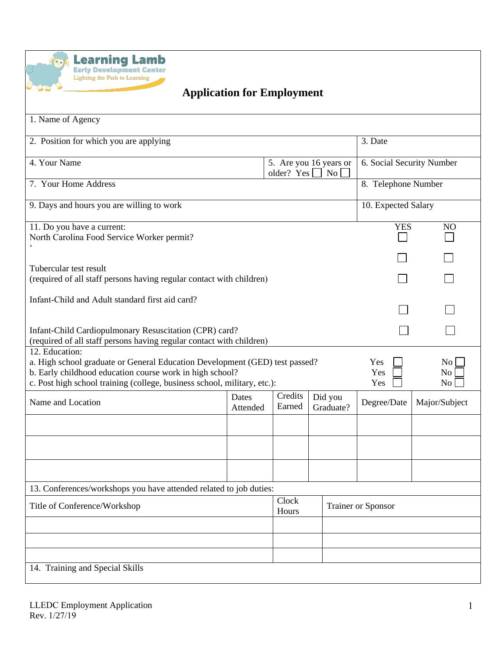

## **Application for Employment**

| 1. Name of Agency                                                                                                                                                                                                                     |                   |                   |       |                           |                     |                              |  |
|---------------------------------------------------------------------------------------------------------------------------------------------------------------------------------------------------------------------------------------|-------------------|-------------------|-------|---------------------------|---------------------|------------------------------|--|
| 2. Position for which you are applying                                                                                                                                                                                                |                   |                   |       |                           | 3. Date             |                              |  |
| 4. Your Name<br>5. Are you 16 years or<br>older? Yes $\vert$<br>N <sub>o</sub>                                                                                                                                                        |                   |                   |       | 6. Social Security Number |                     |                              |  |
| 7. Your Home Address                                                                                                                                                                                                                  |                   |                   |       |                           | 8. Telephone Number |                              |  |
| 9. Days and hours you are willing to work                                                                                                                                                                                             |                   |                   |       |                           | 10. Expected Salary |                              |  |
| 11. Do you have a current:<br>North Carolina Food Service Worker permit?                                                                                                                                                              |                   |                   |       |                           |                     | <b>YES</b><br>N <sub>O</sub> |  |
| Tubercular test result                                                                                                                                                                                                                |                   |                   |       |                           |                     |                              |  |
| (required of all staff persons having regular contact with children)                                                                                                                                                                  |                   |                   |       |                           |                     |                              |  |
| Infant-Child and Adult standard first aid card?                                                                                                                                                                                       |                   |                   |       |                           |                     |                              |  |
| Infant-Child Cardiopulmonary Resuscitation (CPR) card?<br>(required of all staff persons having regular contact with children)                                                                                                        |                   |                   |       |                           |                     |                              |  |
| 12. Education:<br>a. High school graduate or General Education Development (GED) test passed?<br>b. Early childhood education course work in high school?<br>c. Post high school training (college, business school, military, etc.): |                   |                   |       |                           | Yes<br>Yes<br>Yes   | No <sub>1</sub><br>No<br>No  |  |
| Name and Location                                                                                                                                                                                                                     | Dates<br>Attended | Credits<br>Earned |       | Did you<br>Graduate?      | Degree/Date         | Major/Subject                |  |
|                                                                                                                                                                                                                                       |                   |                   |       |                           |                     |                              |  |
|                                                                                                                                                                                                                                       |                   |                   |       |                           |                     |                              |  |
|                                                                                                                                                                                                                                       |                   |                   |       |                           |                     |                              |  |
| 13. Conferences/workshops you have attended related to job duties:                                                                                                                                                                    |                   |                   |       |                           |                     |                              |  |
| Title of Conference/Workshop                                                                                                                                                                                                          |                   | Hours             | Clock |                           | Trainer or Sponsor  |                              |  |
|                                                                                                                                                                                                                                       |                   |                   |       |                           |                     |                              |  |
|                                                                                                                                                                                                                                       |                   |                   |       |                           |                     |                              |  |
| 14. Training and Special Skills                                                                                                                                                                                                       |                   |                   |       |                           |                     |                              |  |